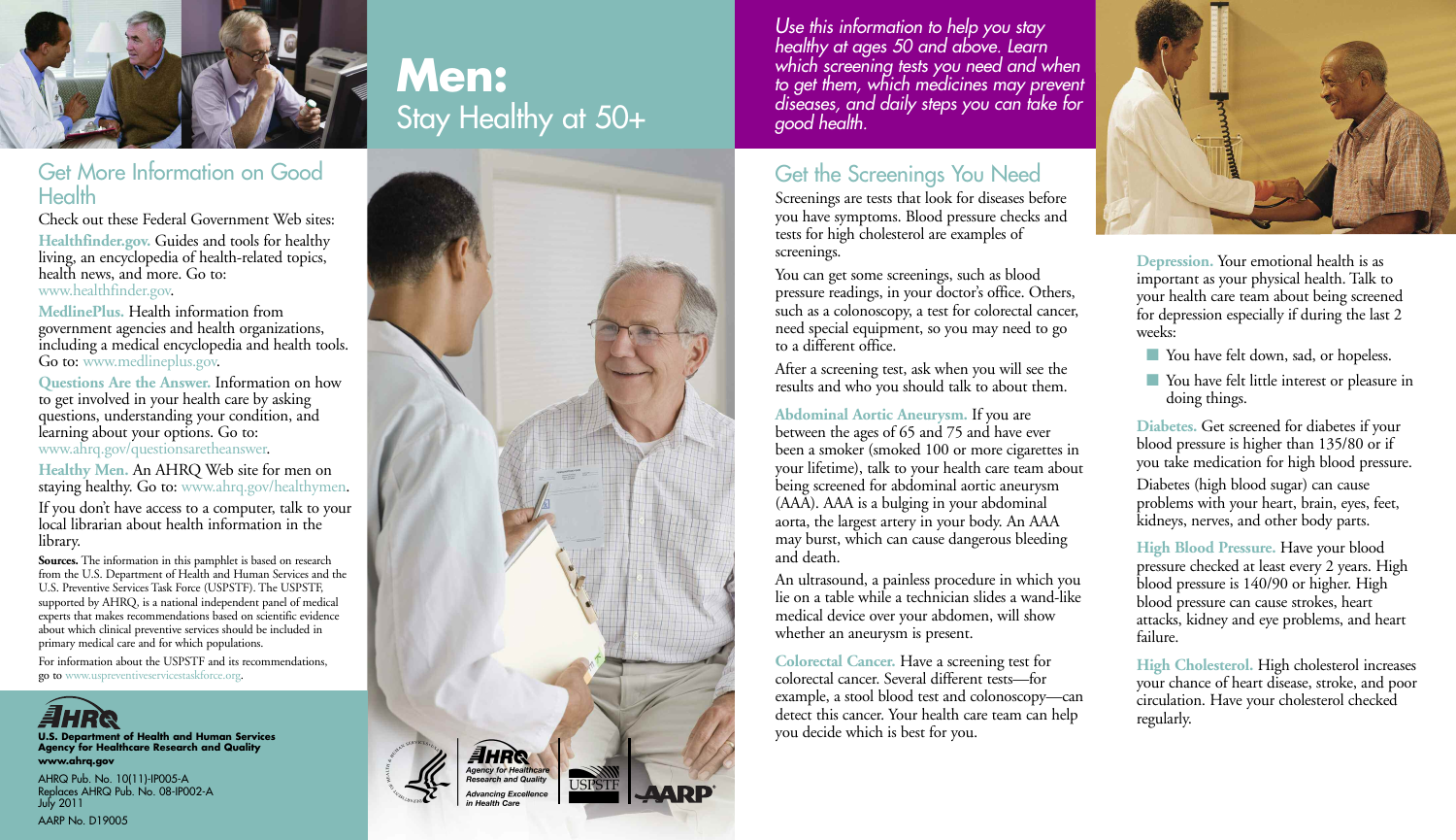

### Get More Information on Good Health

Check out these Federal Government Web sites: **Healthfinder.gov.** Guides and tools for healthy living, an encyclopedia of health-related topics, health news, and more. Go to: www.healthfinder.gov.

**MedlinePlus.** Health information from government agencies and health organizations, including a medical encyclopedia and health tools. Go to: www.medlineplus.gov.

**Questions Are the Answer.** Information on how to get involved in your health care by asking questions, understanding your condition, and learning about your options. Go to: www.ahrq.gov/questionsaretheanswer.

**Healthy Men.** An AHRQ Web site for men on staying healthy. Go to: www.ahrq.gov/healthymen.

If you don't have access to a computer, talk to your local librarian about health information in the library.

**Sources.** The information in this pamphlet is based on research from the U.S. Department of Health and Human Services and the U.S. Preventive Services Task Force (USPSTF). The USPSTF, supported by AHRQ, is a national independent panel of medical experts that makes recommendations based on scientific evidence about which clinical preventive services should be included in primary medical care and for which populations.

For information about the USPSTF and its recommendations, go to www.uspreventiveservicestaskforce.org.



**U.S. Department of Health and Human Services Agency for Healthcare Research and Quality www.ahrq.gov**

AHRQ Pub. No. 10(11)-IP005-A Replaces AHRQ Pub. No. 08-IP002-A July 2011 AARP No. D19005

# **Men:** Stay Healthy at 50+



*Use this information to help you stay healthy at ages 50 and above. Learn which screening tests you need and when to get them, which medicines may prevent diseases, and daily steps you can take for good health.*

## Get the Screenings You Need

Screenings are tests that look for diseases before you have symptoms. Blood pressure checks and tests for high cholesterol are examples of screenings.

You can get some screenings, such as blood pressure readings, in your doctor's office. Others, such as a colonoscopy, a test for colorectal cancer, need special equipment, so you may need to go to a different office.

After a screening test, ask when you will see the results and who you should talk to about them.

**Abdominal Aortic Aneurysm.** If you are

between the ages of 65 and 75 and have ever been a smoker (smoked 100 or more cigarettes in your lifetime), talk to your health care team about being screened for abdominal aortic aneurysm (AAA). AAA is a bulging in your abdominal aorta, the largest artery in your body. An AAA may burst, which can cause dangerous bleeding and death.

An ultrasound, a painless procedure in which you lie on a table while a technician slides a wand-like medical device over your abdomen, will show whether an aneurysm is present.

**Colorectal Cancer.** Have a screening test for colorectal cancer. Several different tests—for example, a stool blood test and colonoscopy—can detect this cancer. Your health care team can help you decide which is best for you.



**Depression.** Your emotional health is as important as your physical health. Talk to your health care team about being screened for depression especially if during the last 2 weeks:

- You have felt down, sad, or hopeless.
- You have felt little interest or pleasure in doing things.

**Diabetes.** Get screened for diabetes if your blood pressure is higher than 135/80 or if you take medication for high blood pressure.

Diabetes (high blood sugar) can cause problems with your heart, brain, eyes, feet, kidneys, nerves, and other body parts.

**High Blood Pressure.** Have your blood pressure checked at least every 2 years. High blood pressure is 140/90 or higher. High blood pressure can cause strokes, heart attacks, kidney and eye problems, and heart failure.

**High Cholesterol.** High cholesterol increases your chance of heart disease, stroke, and poor circulation. Have your cholesterol checked regularly.